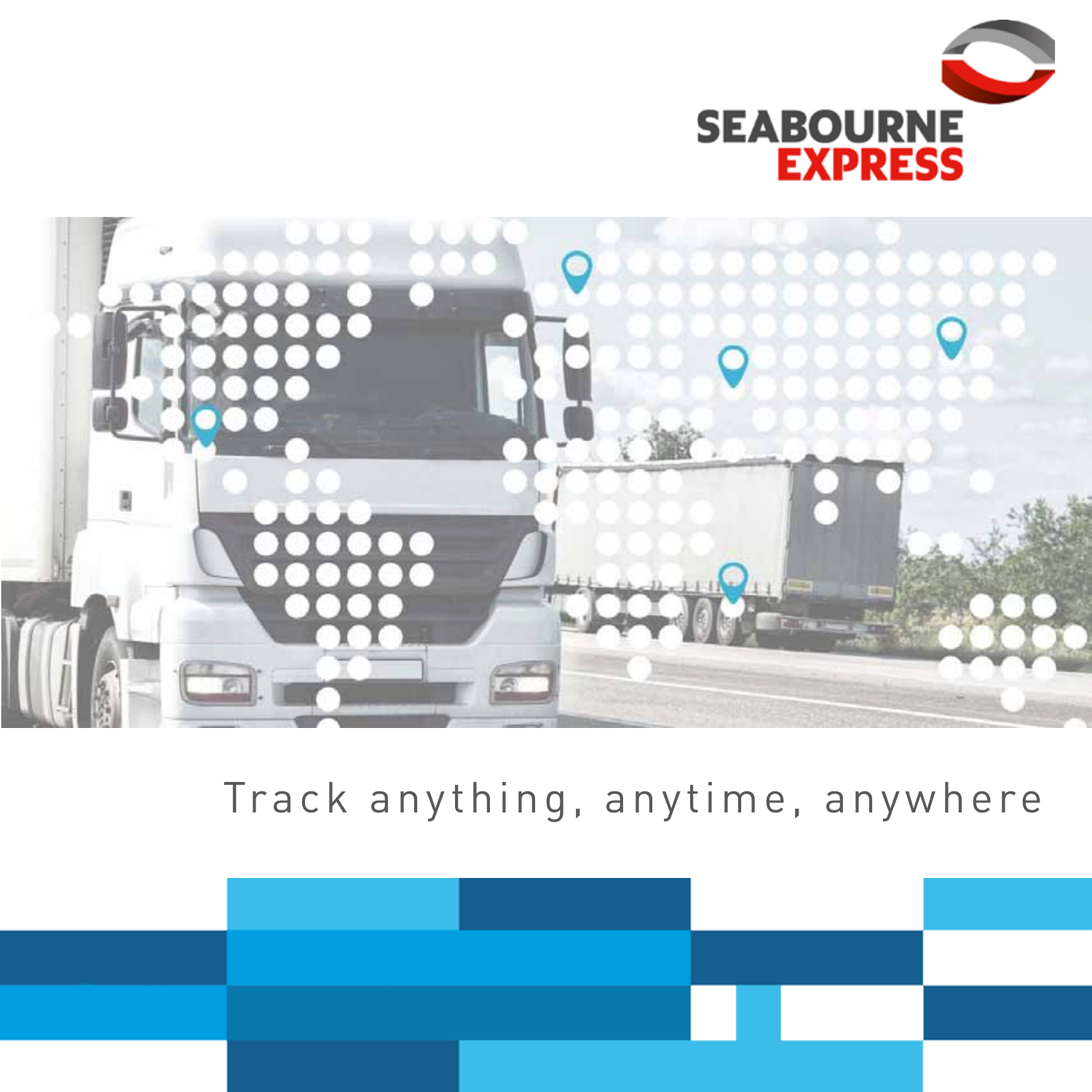



Track anything, anytime, anywhere

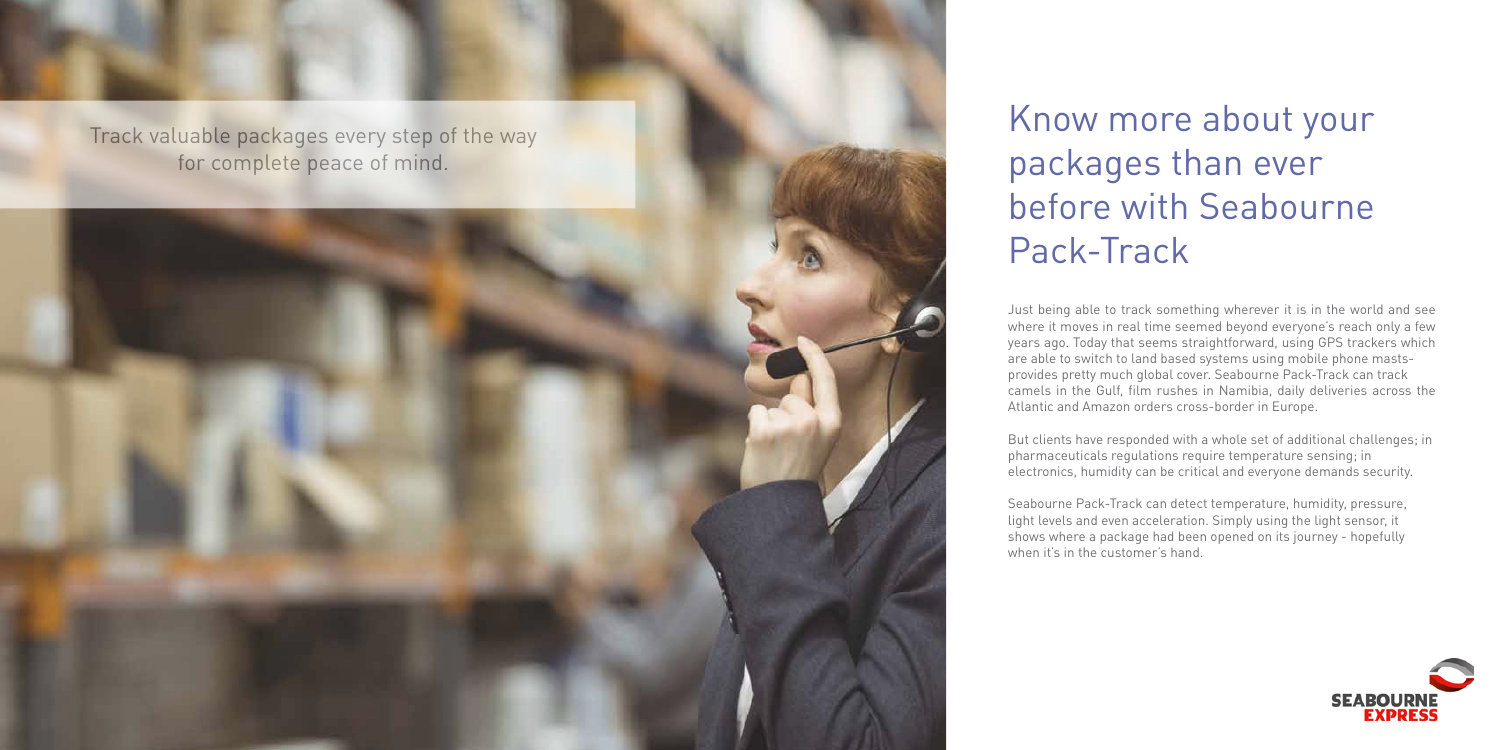# Know more about your packages than ever before with Seabourne Pack-Track

Just being able to track something wherever it is in the world and see where it moves in real time seemed beyond everyone's reach only a few years ago. Today that seems straightforward, using GPS trackers which are able to switch to land based systems using mobile phone mastsprovides pretty much global cover. Seabourne Pack-Track can track camels in the Gulf, film rushes in Namibia, daily deliveries across the Atlantic and Amazon orders cross-border in Europe.



But clients have responded with a whole set of additional challenges; in pharmaceuticals regulations require temperature sensing; in electronics, humidity can be critical and everyone demands security.

Seabourne Pack-Track can detect temperature, humidity, pressure, light levels and even acceleration. Simply using the light sensor, it shows where a package had been opened on its journey - hopefully when it's in the customer's hand.

# Track valuable packages every step of the way for complete peace of mind.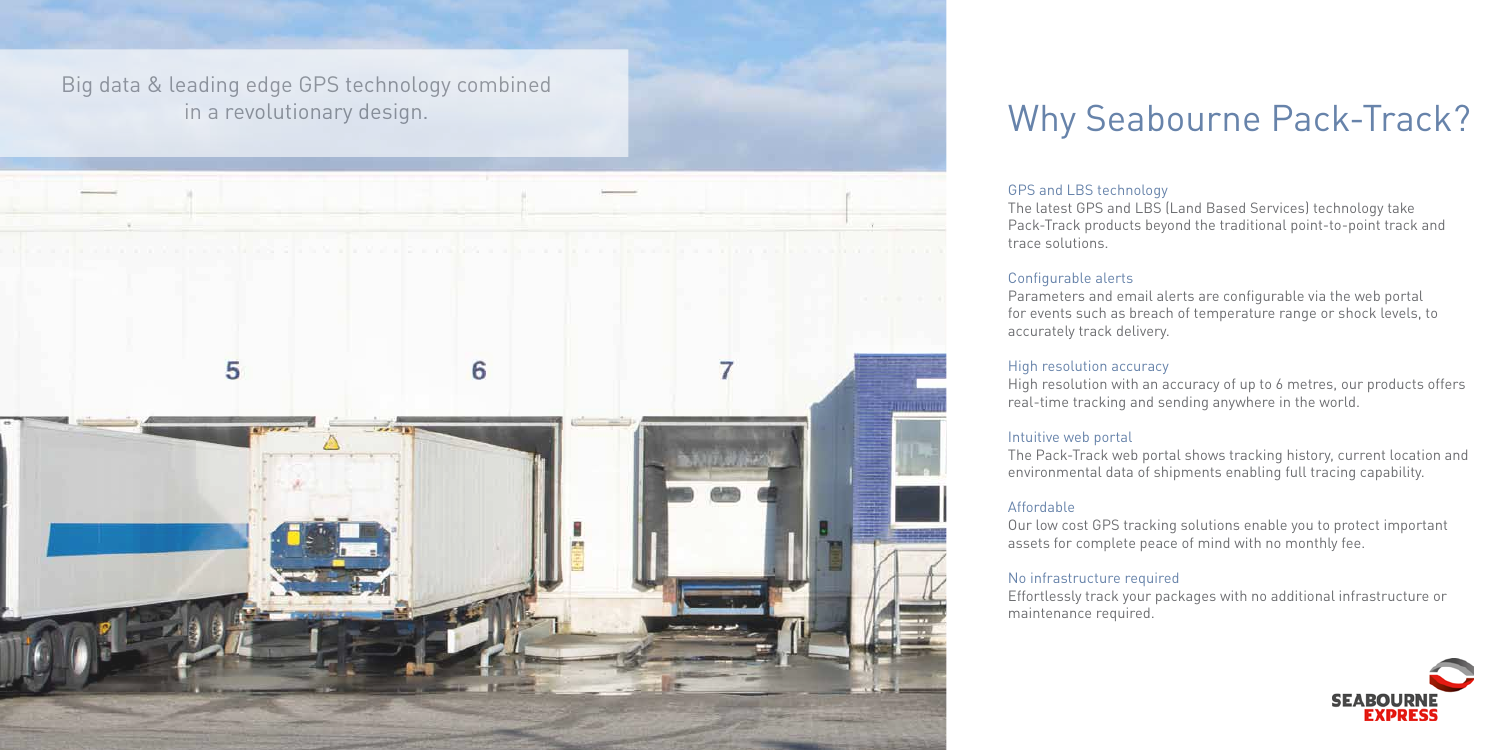# Why Seabourne Pack-Track?

Big data & leading edge GPS technology combined in a revolutionary design.



GPS and LBS technology The latest GPS and LBS (Land Based Services) technology take Pack-Track products beyond the traditional point-to-point track and trace solutions.

Configurable alerts Parameters and email alerts are configurable via the web portal for events such as breach of temperature range or shock levels, to accurately track delivery.

High resolution accuracy High resolution with an accuracy of up to 6 metres, our products offers real-time tracking and sending anywhere in the world.

Intuitive web portal The Pack-Track web portal shows tracking history, current location and environmental data of shipments enabling full tracing capability.

Affordable Our low cost GPS tracking solutions enable you to protect important assets for complete peace of mind with no monthly fee.

No infrastructure required Effortlessly track your packages with no additional infrastructure or maintenance required.

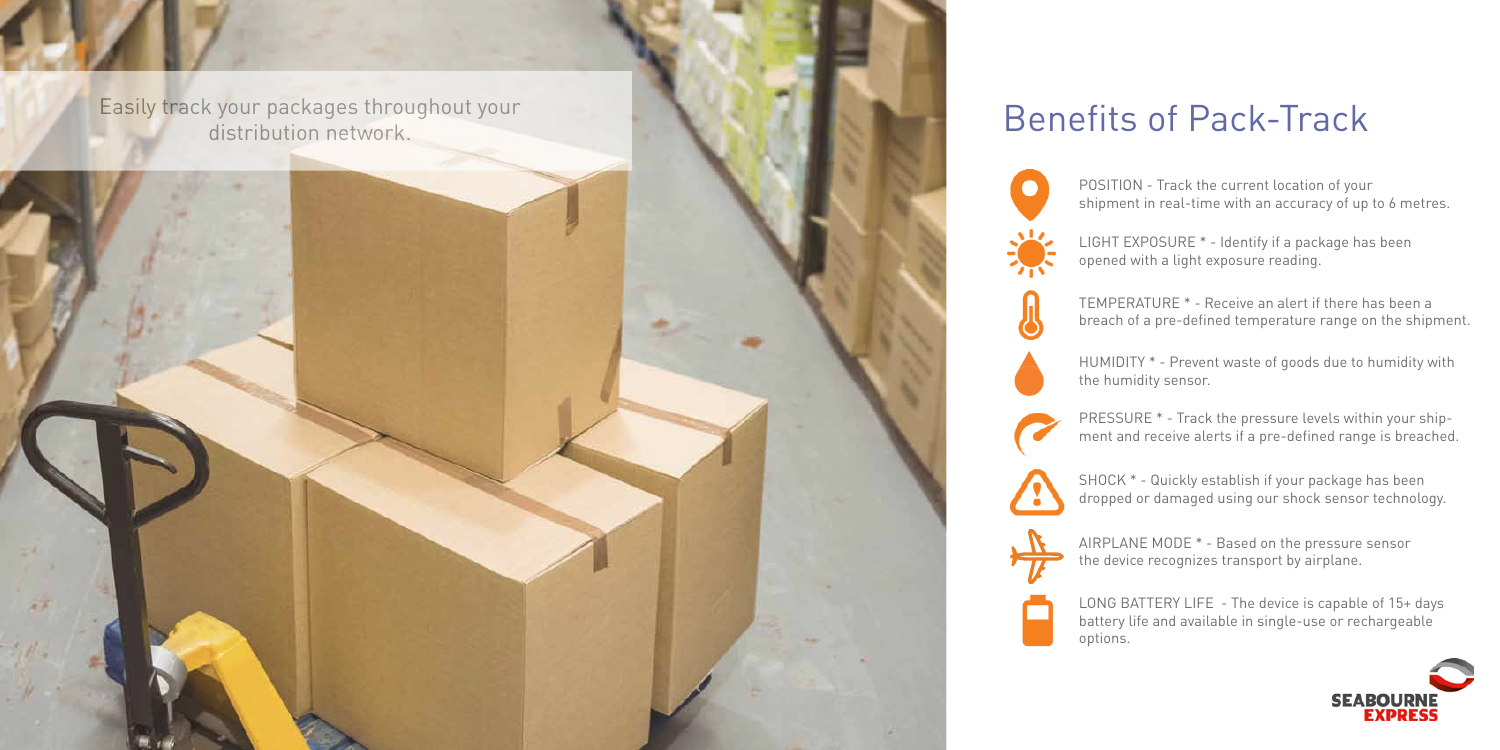Easily track your packages throughout your and the state of Pack-Track distribution network.







POSITION - Track the current location of your shipment in real-time with an accuracy of up to 6 metres.

LIGHT EXPOSURE \* - Identify if a package has been opened with a light exposure reading.

TEMPERATURE \* - Receive an alert if there has been a breach of a pre-defined temperature range on the shipment.

SHOCK \* - Quickly establish if your package has been dropped or damaged using our shock sensor technology.

PRESSURE \* - Track the pressure levels within your shipment and receive alerts if a pre-defined range is breached.

LONG BATTERY LIFE - The device is capable of 15+ days battery life and available in single-use or rechargeable options.



AIRPLANE MODE \* - Based on the pressure sensor the device recognizes transport by airplane.

HUMIDITY \* - Prevent waste of goods due to humidity with the humidity sensor.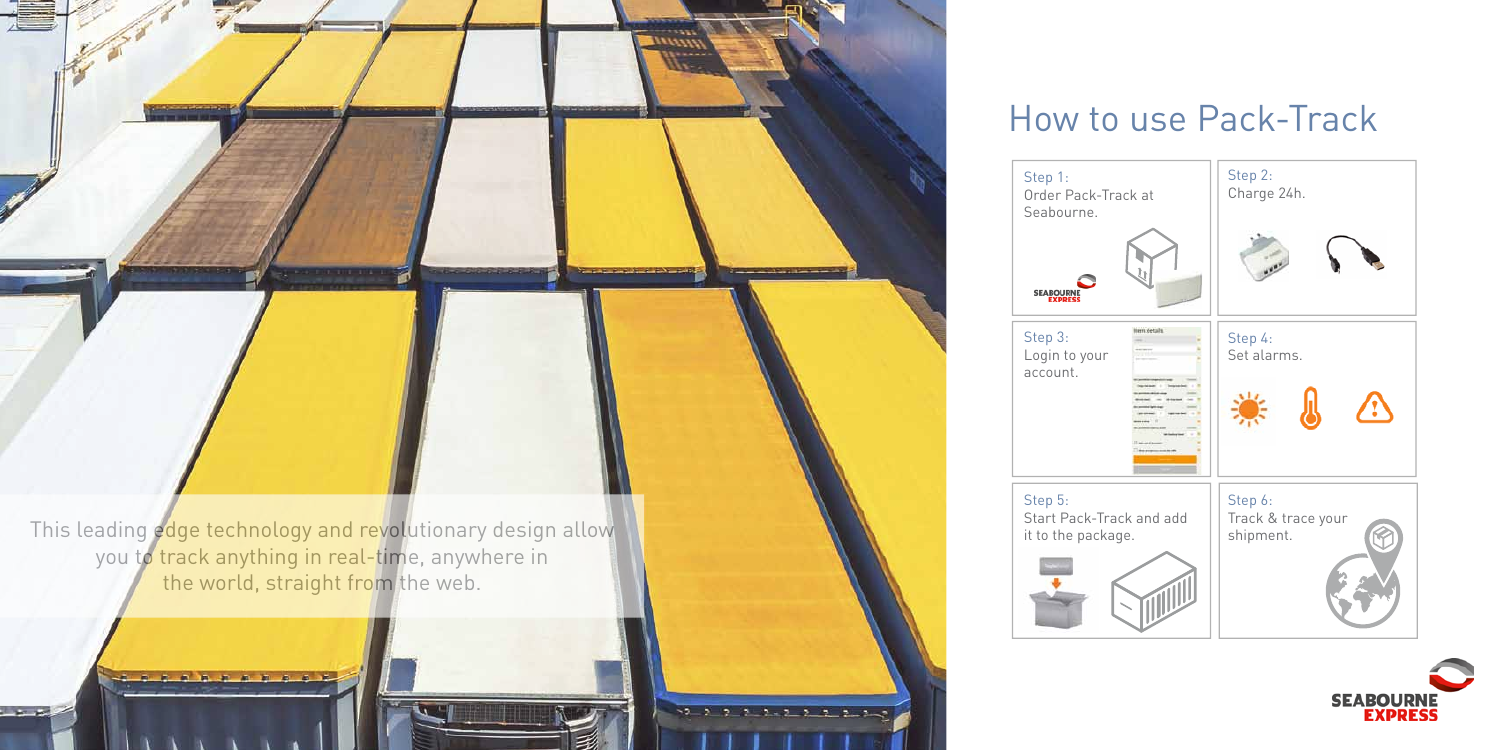# How to use Pack-Track



Step 1: Order Pack-Track at Seabourne.



Step 3: Login to your account.





Step 5: it to the package.

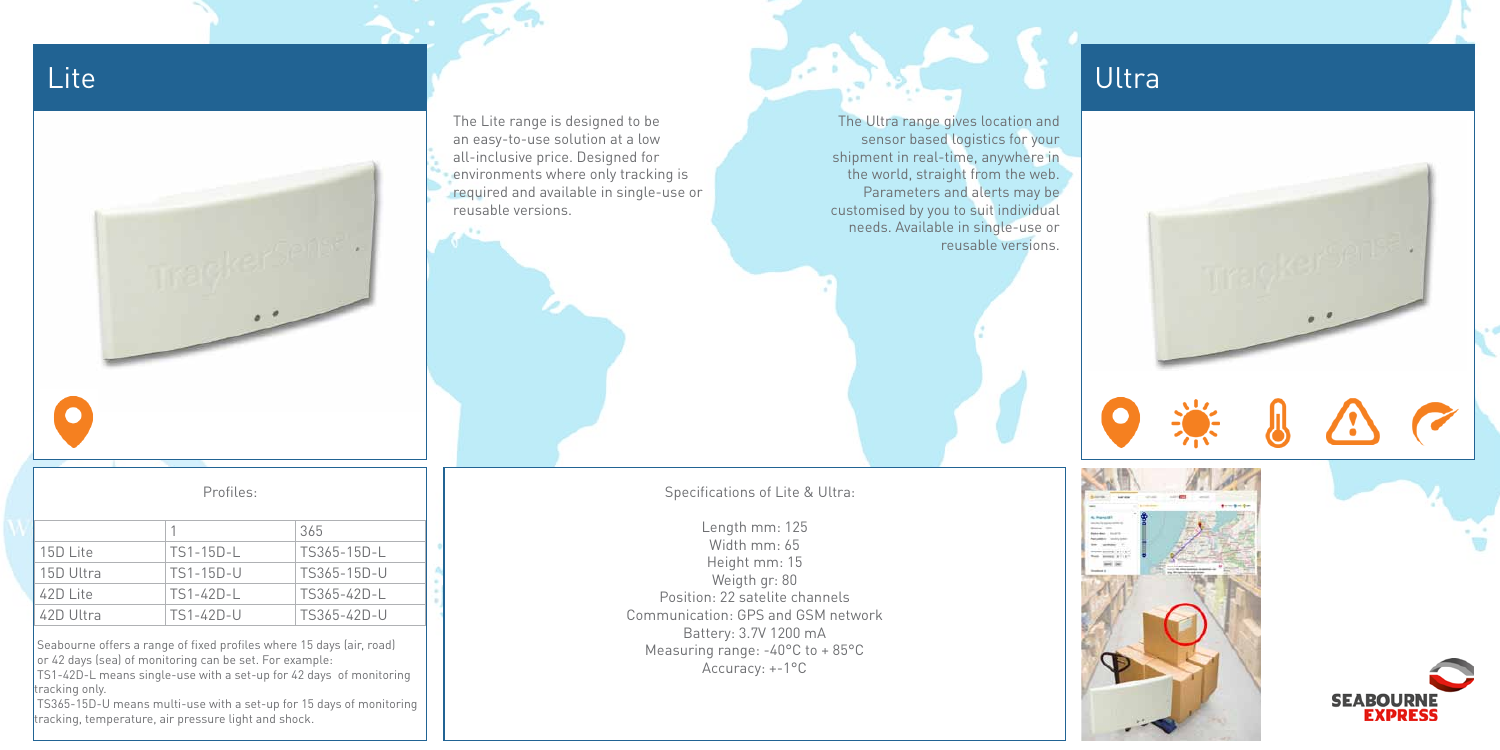The Ultra range gives location and sensor based logistics for your shipment in real-time, anywhere in the world, straight from the web. Parameters and alerts may be customised by you to suit individual needs. Available in single-use or reusable versions.

Specifications of Lite & Ultra:

Length mm: 125 Width mm: 65 Height mm: 15 Weigth gr: 80 Position: 22 satelite channels Communication: GPS and GSM network Battery: 3.7V 1200 mA Measuring range: -40°C to + 85°C Accuracy: +-1°C

 TS365-15D-U means multi-use with a set-up for 15 days of monitoring tracking, temperature, air pressure light and shock.

## Lite the state of the state of the state of the state of the state of the state of the Ultra



## Profiles:

|           |                 | 365         |
|-----------|-----------------|-------------|
| 15D Lite  | $TS1-15D-L$     | TS365-15D-L |
| 15D Ultra | TS1-15D-U       | TS365-15D-U |
| 42D Lite  | TS1-42D-L       | TS365-42D-L |
| 42D Ultra | $TS1 - 42D - U$ | TS365-42D-U |

 Seabourne offers a range of fixed profiles where 15 days (air, road) or 42 days (sea) of monitoring can be set. For example:

 TS1-42D-L means single-use with a set-up for 42 days of monitoring tracking only.



The Lite range is designed to be an easy-to-use solution at a low all-inclusive price. Designed for environments where only tracking is required and available in single-use or reusable versions.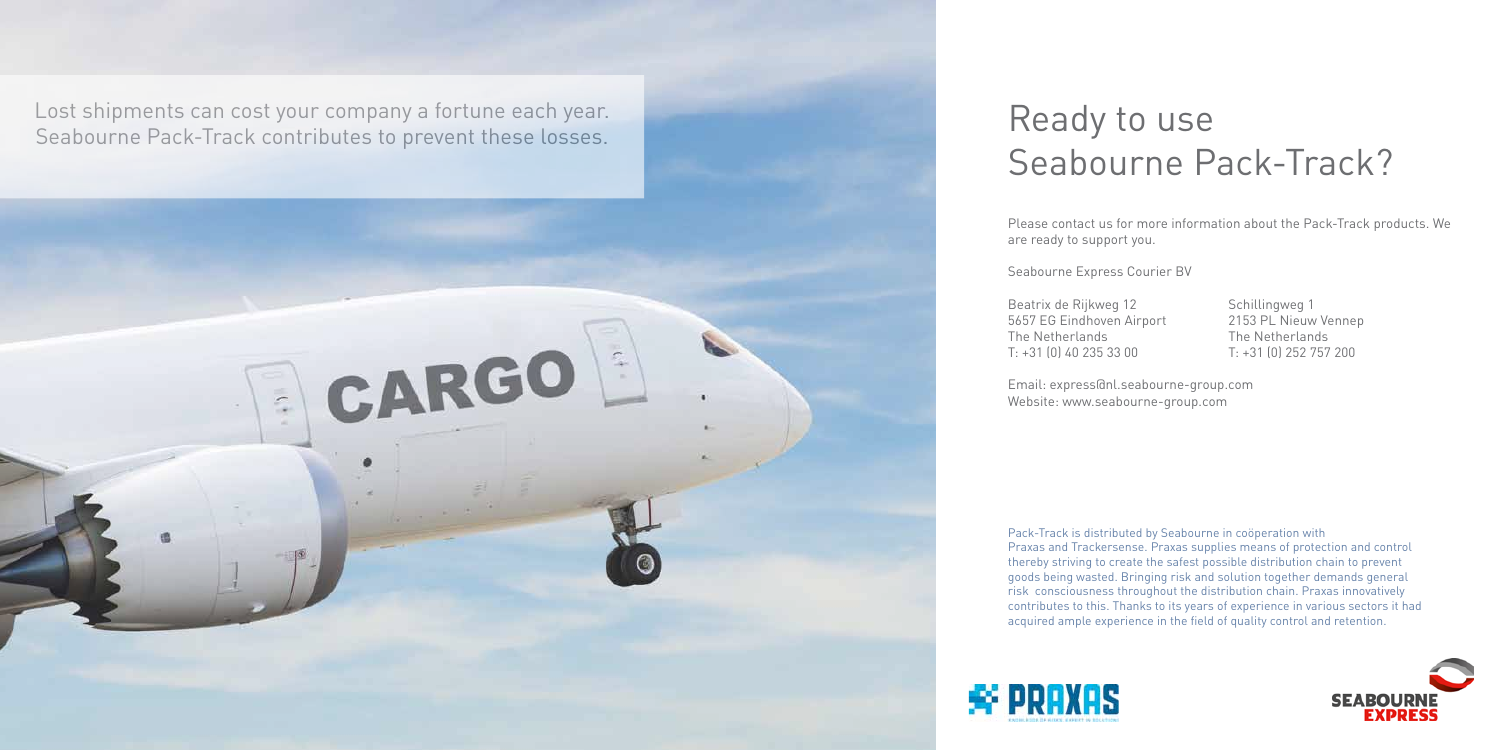# Ready to use Seabourne Pack-Track?

Please contact us for more information about the Pack-Track products. We are ready to support you.

Seabourne Express Courier BV

Beatrix de Rijkweg 12 Schillingweg 1

5657 EG Eindhoven Airport 2153 PL Nieuw Vennep The Netherlands The Netherlands T: +31 (0) 40 235 33 00 T: +31 (0) 252 757 200





Email: express@nl.seabourne-group.com Website: www.seabourne-group.com

Pack-Track is distributed by Seabourne in coöperation with Praxas and Trackersense. Praxas supplies means of protection and control thereby striving to create the safest possible distribution chain to prevent goods being wasted. Bringing risk and solution together demands general risk consciousness throughout the distribution chain. Praxas innovatively contributes to this. Thanks to its years of experience in various sectors it had acquired ample experience in the field of quality control and retention.



Lost shipments can cost your company a fortune each year. Seabourne Pack-Track contributes to prevent these losses.

# CARGO